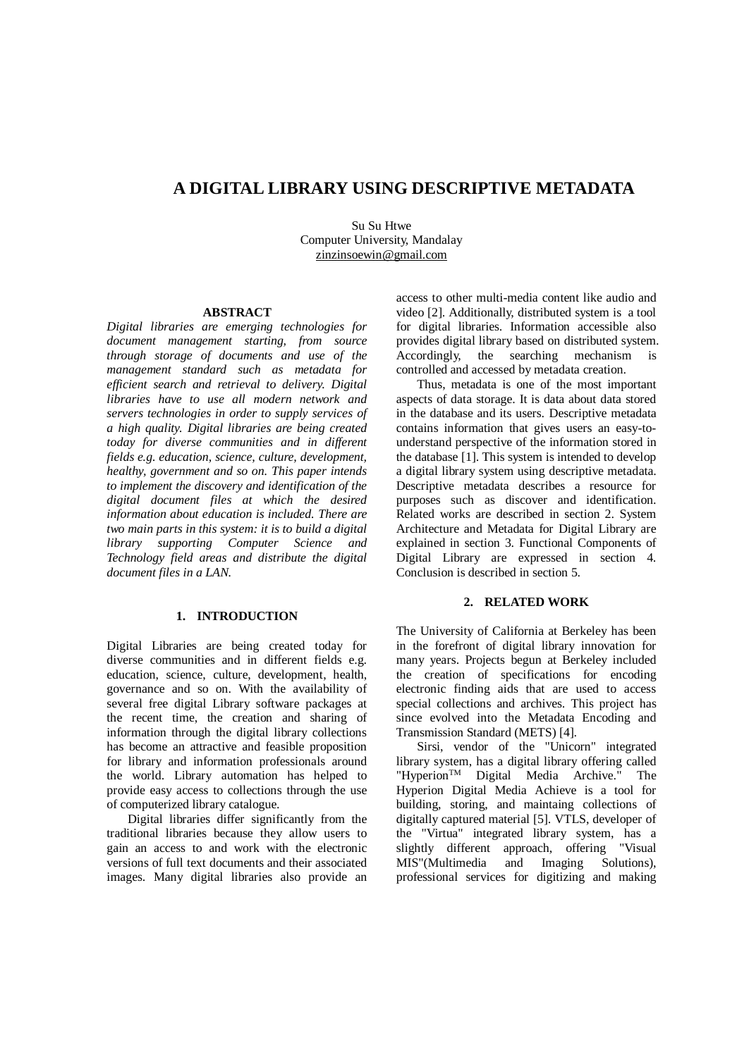# **A DIGITAL LIBRARY USING DESCRIPTIVE METADATA**

Su Su Htwe Computer University, Mandalay zinzinsoewin@gmail.com

#### **ABSTRACT**

*Digital libraries are emerging technologies for document management starting, from source through storage of documents and use of the management standard such as metadata for efficient search and retrieval to delivery. Digital libraries have to use all modern network and servers technologies in order to supply services of a high quality. Digital libraries are being created today for diverse communities and in different fields e.g. education, science, culture, development, healthy, government and so on. This paper intends to implement the discovery and identification of the digital document files at which the desired information about education is included. There are two main parts in this system: it is to build a digital library supporting Computer Science and Technology field areas and distribute the digital document files in a LAN.*

# **1. INTRODUCTION**

Digital Libraries are being created today for diverse communities and in different fields e.g. education, science, culture, development, health, governance and so on. With the availability of several free digital Library software packages at the recent time, the creation and sharing of information through the digital library collections has become an attractive and feasible proposition for library and information professionals around the world. Library automation has helped to provide easy access to collections through the use of computerized library catalogue.

Digital libraries differ significantly from the traditional libraries because they allow users to gain an access to and work with the electronic versions of full text documents and their associated images. Many digital libraries also provide an access to other multi-media content like audio and video [2]. Additionally, distributed system is a tool for digital libraries. Information accessible also provides digital library based on distributed system. Accordingly, the searching mechanism is controlled and accessed by metadata creation.

Thus, metadata is one of the most important aspects of data storage. It is data about data stored in the database and its users. Descriptive metadata contains information that gives users an easy-tounderstand perspective of the information stored in the database [1]. This system is intended to develop a digital library system using descriptive metadata. Descriptive metadata describes a resource for purposes such as discover and identification. Related works are described in section 2. System Architecture and Metadata for Digital Library are explained in section 3. Functional Components of Digital Library are expressed in section 4. Conclusion is described in section 5.

#### **2. RELATED WORK**

The University of California at Berkeley has been in the forefront of digital library innovation for many years. Projects begun at Berkeley included the creation of specifications for encoding electronic finding aids that are used to access special collections and archives. This project has since evolved into the Metadata Encoding and Transmission Standard (METS) [4].

Sirsi, vendor of the "Unicorn" integrated library system, has a digital library offering called "Hyperion<sup>TM</sup> Digital Media Archive." The Hyperion Digital Media Achieve is a tool for building, storing, and maintaing collections of digitally captured material [5]. VTLS, developer of the "Virtua" integrated library system, has a slightly different approach, offering "Visual MIS"(Multimedia and Imaging Solutions), professional services for digitizing and making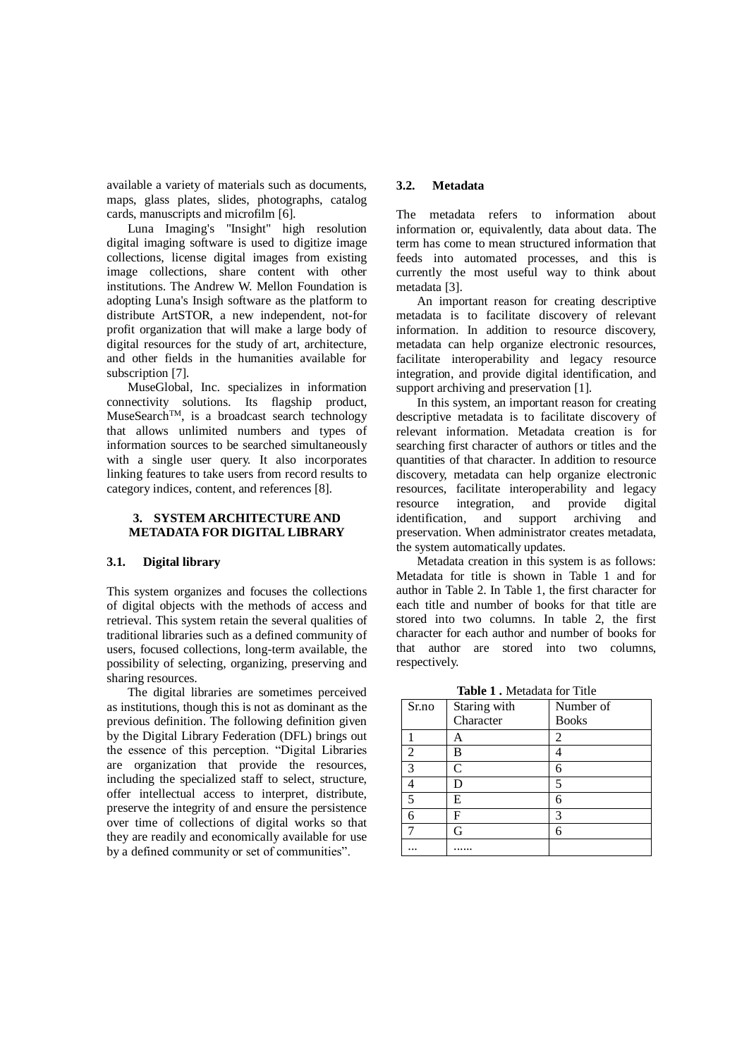available a variety of materials such as documents, maps, glass plates, slides, photographs, catalog cards, manuscripts and microfilm [6].

Luna Imaging's "Insight" high resolution digital imaging software is used to digitize image collections, license digital images from existing image collections, share content with other institutions. The Andrew W. Mellon Foundation is adopting Luna's Insigh software as the platform to distribute ArtSTOR, a new independent, not-for profit organization that will make a large body of digital resources for the study of art, architecture, and other fields in the humanities available for subscription [7].

MuseGlobal, Inc. specializes in information connectivity solutions. Its flagship product, MuseSearch<sup>TM</sup>, is a broadcast search technology that allows unlimited numbers and types of information sources to be searched simultaneously with a single user query. It also incorporates linking features to take users from record results to category indices, content, and references [8].

#### **3. SYSTEM ARCHITECTURE AND METADATA FOR DIGITAL LIBRARY**

#### **3.1. Digital library**

This system organizes and focuses the collections of digital objects with the methods of access and retrieval. This system retain the several qualities of traditional libraries such as a defined community of users, focused collections, long-term available, the possibility of selecting, organizing, preserving and sharing resources.

The digital libraries are sometimes perceived as institutions, though this is not as dominant as the previous definition. The following definition given by the Digital Library Federation (DFL) brings out the essence of this perception. "Digital Libraries are organization that provide the resources, including the specialized staff to select, structure, offer intellectual access to interpret, distribute, preserve the integrity of and ensure the persistence over time of collections of digital works so that they are readily and economically available for use by a defined community or set of communities".

# **3.2. Metadata**

The metadata refers to information about information or, equivalently, data about data. The term has come to mean structured information that feeds into automated processes, and this is currently the most useful way to think about metadata [3].

An important reason for creating descriptive metadata is to facilitate discovery of relevant information. In addition to resource discovery, metadata can help organize electronic resources, facilitate interoperability and legacy resource integration, and provide digital identification, and support archiving and preservation [1].

In this system, an important reason for creating descriptive metadata is to facilitate discovery of relevant information. Metadata creation is for searching first character of authors or titles and the quantities of that character. In addition to resource discovery, metadata can help organize electronic resources, facilitate interoperability and legacy resource integration, and provide digital identification, and support archiving and preservation. When administrator creates metadata, the system automatically updates.

Metadata creation in this system is as follows: Metadata for title is shown in Table 1 and for author in Table 2. In Table 1, the first character for each title and number of books for that title are stored into two columns. In table 2, the first character for each author and number of books for that author are stored into two columns, respectively.

**Table 1 .** Metadata for Title

|                | <b>Table 1.</b> Metadata for The |              |
|----------------|----------------------------------|--------------|
| Sr.no          | Staring with                     | Number of    |
|                | Character                        | <b>Books</b> |
|                | A                                | 2            |
| $\overline{2}$ | B                                |              |
| 3              | $\mathbf C$                      | 6            |
|                | D                                | 5            |
| 5              | E                                | 6            |
| 6              | F                                | 3            |
|                | G                                | 6            |
| .              |                                  |              |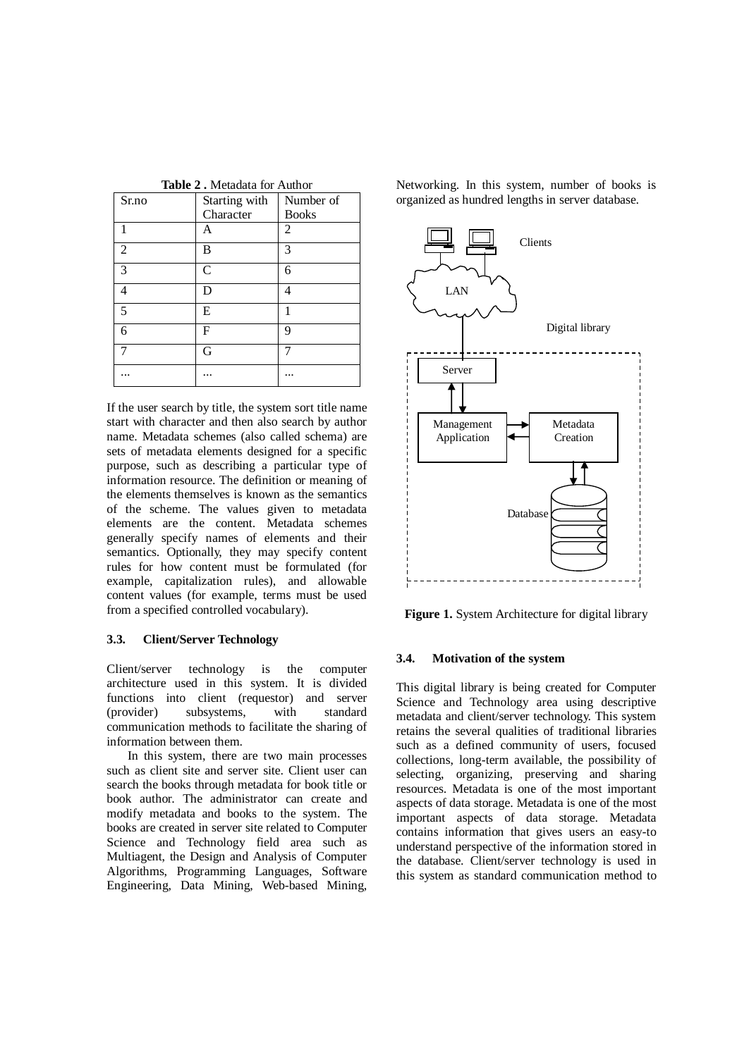| Sr.no | Starting with | Number of    |
|-------|---------------|--------------|
|       | Character     | <b>Books</b> |
|       | Α             | 2            |
| 2     | B             | 3            |
| 3     | $\mathsf{C}$  | 6            |
| Δ     | D             | 4            |
| 5     | E             | 1            |
| 6     | $\mathbf{F}$  | 9            |
|       | G             |              |
|       |               |              |

**Table 2 .** Metadata for Author

If the user search by title, the system sort title name start with character and then also search by author name. Metadata schemes (also called schema) are sets of metadata elements designed for a specific purpose, such as describing a particular type of information resource. The definition or meaning of the elements themselves is known as the semantics of the scheme. The values given to metadata elements are the content. Metadata schemes generally specify names of elements and their semantics. Optionally, they may specify content rules for how content must be formulated (for example, capitalization rules), and allowable content values (for example, terms must be used from a specified controlled vocabulary).

# **3.3. Client/Server Technology**

Client/server technology is the computer architecture used in this system. It is divided functions into client (requestor) and server (provider) subsystems, with standard communication methods to facilitate the sharing of information between them.

In this system, there are two main processes such as client site and server site. Client user can search the books through metadata for book title or book author. The administrator can create and modify metadata and books to the system. The books are created in server site related to Computer Science and Technology field area such as Multiagent, the Design and Analysis of Computer Algorithms, Programming Languages, Software Engineering, Data Mining, Web-based Mining,

Networking. In this system, number of books is organized as hundred lengths in server database.



**Figure 1.** System Architecture for digital library

#### **3.4. Motivation of the system**

This digital library is being created for Computer Science and Technology area using descriptive metadata and client/server technology. This system retains the several qualities of traditional libraries such as a defined community of users, focused collections, long-term available, the possibility of selecting, organizing, preserving and sharing resources. Metadata is one of the most important aspects of data storage. Metadata is one of the most important aspects of data storage. Metadata contains information that gives users an easy-to understand perspective of the information stored in the database. Client/server technology is used in this system as standard communication method to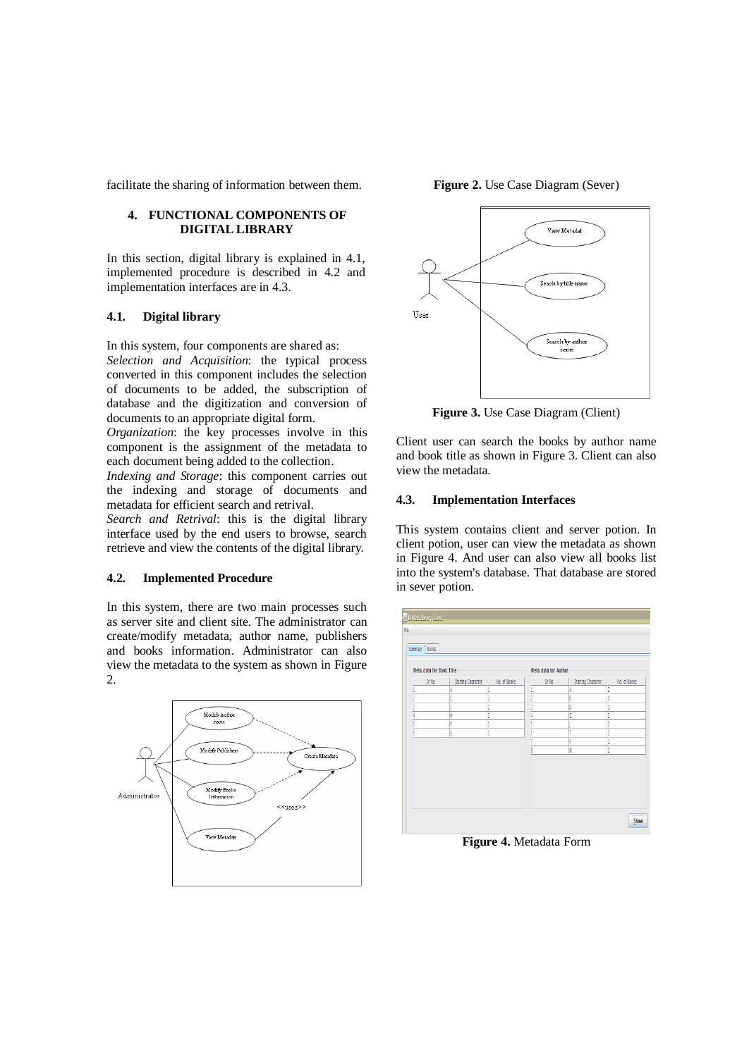facilitate the sharing of information between them.

### **4. FUNCTIONAL COMPONENTS OF DIGITAL LIBRARY**

In this section, digital library is explained in 4.1, implemented procedure is described in 4.2 and implementation interfaces are in 4.3.

#### **4.1. Digital library**

In this system, four components are shared as: *Selection and Acquisition*: the typical process converted in this component includes the selection of documents to be added, the subscription of database and the digitization and conversion of documents to an appropriate digital form.

*Organization*: the key processes involve in this component is the assignment of the metadata to each document being added to the collection.

*Indexing and Storage*: this component carries out the indexing and storage of documents and metadata for efficient search and retrival.

*Search and Retrival*: this is the digital library interface used by the end users to browse, search retrieve and view the contents of the digital library.

#### **4.2. Implemented Procedure**

In this system, there are two main processes such as server site and client site. The administrator can create/modify metadata, author name, publishers and books information. Administrator can also view the metadata to the system as shown in Figure 2.







**Figure 3.** Use Case Diagram (Client)

Client user can search the books by author name and book title as shown in Figure 3. Client can also view the metadata.

# **4.3. Implementation Interfaces**

This system contains client and server potion. In client potion, user can view the metadata as shown in Figure 4. And user can also view all books list into the system's database. That database are stored in sever potion.



**Figure 4.** Metadata Form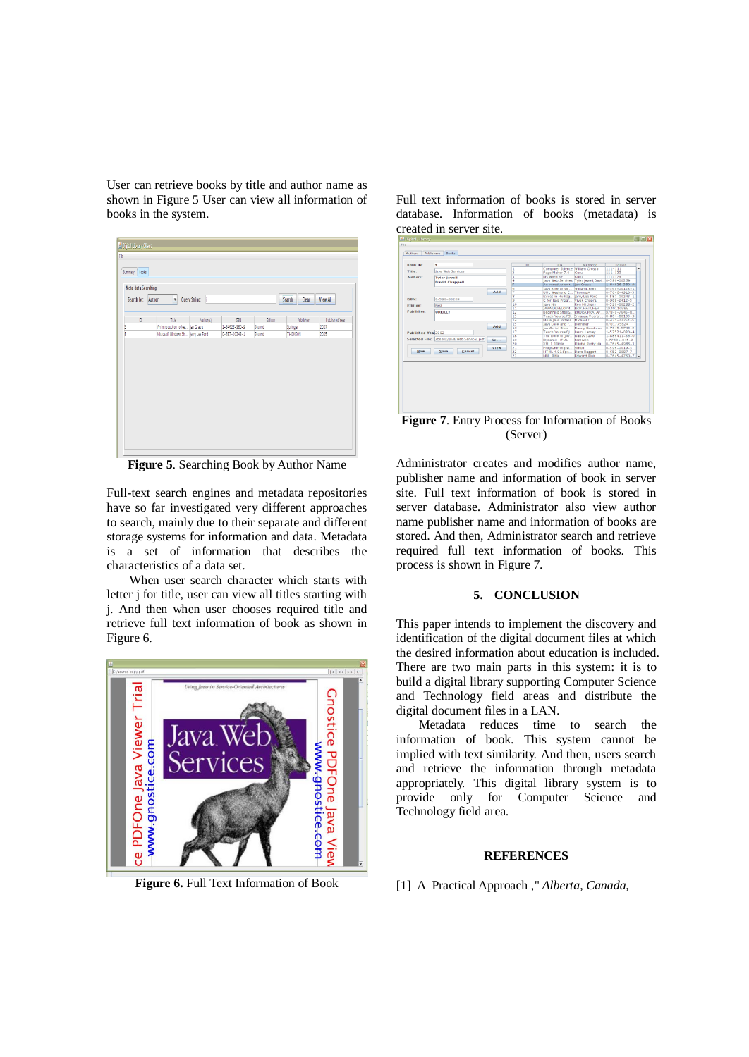User can retrieve books by title and author name as shown in Figure 5 User can view all information of books in the system.

|   |                                     |           |               |         | Search<br><b>Clear</b> |                |
|---|-------------------------------------|-----------|---------------|---------|------------------------|----------------|
| D | Title                               | Author(s) | <b>ISBN</b>   | Edition | Publisher              | Published Year |
|   | An Introduction to Net Jan Graba    |           | 1-84628-380-9 | Second  | Springer               | 2007           |
|   | Microsoft Windows Sh Jerry Lee Ford |           | 0-587-00243-1 | Second  | THOMSON                | 2005           |
|   |                                     |           |               |         |                        |                |

**Figure 5**. Searching Book by Author Name

Full-text search engines and metadata repositories have so far investigated very different approaches to search, mainly due to their separate and different storage systems for information and data. Metadata is a set of information that describes the characteristics of a data set.

When user search character which starts with letter j for title, user can view all titles starting with j. And then when user chooses required title and retrieve full text information of book as shown in Figure 6.



**Figure 6.** Full Text Information of Book

| Rook ID:           | $\overline{a}$                              |      |                                                                          | $\overline{D}$ | Title                                                      | Author(s)                 | Edition                                    |                          |
|--------------------|---------------------------------------------|------|--------------------------------------------------------------------------|----------------|------------------------------------------------------------|---------------------------|--------------------------------------------|--------------------------|
| Title:             | lays Web Services                           |      |                                                                          |                | Computer Science Milliam Grosso                            |                           | $111 - 111$                                | ۰                        |
|                    |                                             |      | E                                                                        |                | Page Maker 7.0                                             | Curu                      | $111 - 123$                                |                          |
| Authors:           | <b>Tyler Jewell</b>                         |      | E<br>ā                                                                   |                | MS Word XP                                                 | Curu                      | 111-124                                    |                          |
|                    | <b>David Chappell</b>                       |      |                                                                          |                | lava Web Services Tyler lewell.Dayl.<br>An introduction t. | lan Graba                 | $0 - 596 - 00269$<br>$1 - 84628 - 380 - 9$ |                          |
|                    |                                             |      | Is                                                                       |                | Java Enterprise                                            | WilliamL Brett            | $0 - 569 - 00123 - 1$                      |                          |
|                    |                                             | Add  | $\frac{5}{7}$                                                            |                | UML Weekend C.                                             | ThomasA                   | $0 - 7646 - 4910 - 3$                      |                          |
|                    |                                             |      | ß                                                                        |                | Issues in Multiag.                                         | Jerry Lee Ford            | $0 - 587 - 00243 - 1$                      |                          |
| ISBN:              | 0-596-00269                                 |      | b                                                                        |                | C for lava Progr                                           | <b>Wivek Chopra</b>       | $0 - 968 - 2412 - 5$                       |                          |
| <b>Edition:</b>    |                                             |      | 10                                                                       |                | <b>Java Nio</b>                                            | <b>Ron Hitchens</b>       | $0 - 596 - 00288 - 2$                      |                          |
|                    | First                                       |      | 11                                                                       |                | <b>JAVA DEVELOPM</b>                                       | <b>FRIK HATCHER</b>       | 1930110588                                 |                          |
| Publisher:         | OREILLY                                     |      | 12                                                                       |                | Beginning Shell S.                                         | RUDRA PRATAP.             | $978 - 0 - 7645 - 8$                       |                          |
|                    |                                             |      | 13                                                                       |                | <b>Teach Yourself S</b>                                    | Sriranga Veerar           | $0 - R64 - 00125 - 9$                      |                          |
|                    |                                             |      | 14                                                                       |                | More Java Pitfalls                                         | Michael C                 | $0 - 471 - 23751 - 5$                      |                          |
|                    |                                             |      | $\frac{15}{16}$                                                          |                | lays Look and F.                                           | Dotneter                  | 0701775824                                 |                          |
|                    |                                             | Add  |                                                                          |                | JavaScript Bible                                           | Danny Coodman             | 0-7645-5743-2                              |                          |
| Published Year2002 |                                             |      | 17                                                                       |                | <b>Teach Yourself I.</b>                                   | Laura Lemay               | $1 - 57521 - 030 - 4$                      |                          |
|                    |                                             |      | 18                                                                       |                | The book of IAV.                                           | Naday Saylo               | 1-886411-36-0                              |                          |
| <b>New</b>         | Selected File: /books/laya Web Services odf | Sel  | 19                                                                       |                | Dynamic HTML                                               | Fontswin                  | $-77681 - 045 - 2$                         |                          |
|                    |                                             |      | $rac{20}{21}$                                                            |                | XML1.1Bible                                                | <b>Elliotte Rusty Ha.</b> | $0 - 7645 - 4986 - 3$                      |                          |
|                    |                                             | View |                                                                          |                | Programming W.                                             | Simon                     | $0 - 596 - 0019 - 3$                       |                          |
|                    | Save<br>Cancel                              |      | $\begin{array}{ c c }\hline 2 & 2 \\ \hline 2 & 3 \\ \hline \end{array}$ |                | <b>HTML 4.01 Spe</b>                                       | Dave Raggett              | $0 - 652 - 0087 - 7$                       |                          |
|                    |                                             |      |                                                                          |                | <b>HML Bible</b>                                           | <b>Edward Blair</b>       | $0 - 7645 - 4760 - 7$                      | $\overline{\phantom{a}}$ |
|                    |                                             |      |                                                                          |                |                                                            |                           |                                            |                          |

Full text information of books is stored in server database. Information of books (metadata) is created in server site.

**Figure 7**. Entry Process for Information of Books (Server)

Administrator creates and modifies author name, publisher name and information of book in server site. Full text information of book is stored in server database. Administrator also view author name publisher name and information of books are stored. And then, Administrator search and retrieve required full text information of books. This process is shown in Figure 7.

#### **5. CONCLUSION**

This paper intends to implement the discovery and identification of the digital document files at which the desired information about education is included. There are two main parts in this system: it is to build a digital library supporting Computer Science and Technology field areas and distribute the digital document files in a LAN.

Metadata reduces time to search the information of book. This system cannot be implied with text similarity. And then, users search and retrieve the information through metadata appropriately. This digital library system is to provide only for Computer Science and Technology field area.

#### **REFERENCES**

### [1] A Practical Approach ," *Alberta, Canada,*